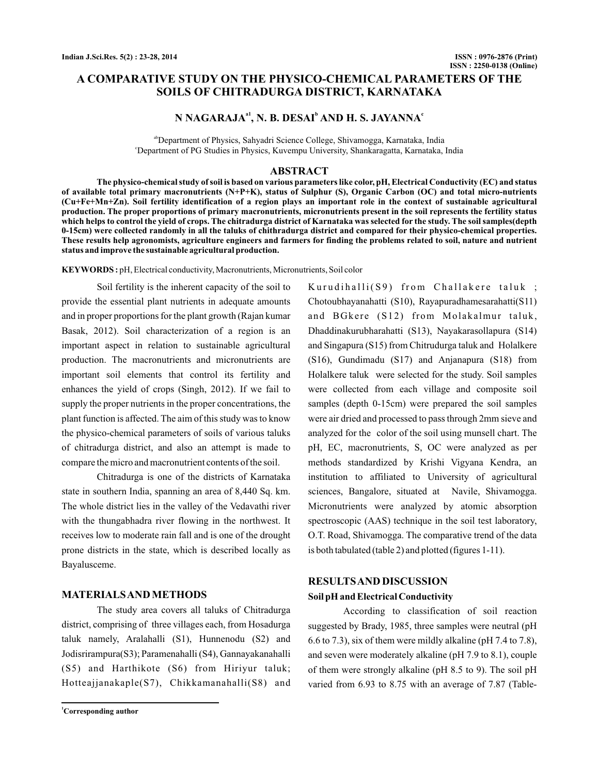# **A COMPARATIVE STUDY ON THE PHYSICO-CHEMICAL PARAMETERS OF THE SOILS OF CHITRADURGA DISTRICT, KARNATAKA**

# **N NAGARAJA<sup>a1</sup>, N. B. DESAI<sup>b</sup> AND H. S. JAYANNA<sup>c</sup>**

<sup>ab</sup>Department of Physics, Sahyadri Science College, Shivamogga, Karnataka, India c Department of PG Studies in Physics, Kuvempu University, Shankaragatta, Karnataka, India

## **ABSTRACT**

**The physico-chemical study of soil is based on various parameters like color, pH, Electrical Conductivity (EC) and status of available total primary macronutrients (N+P+K), status of Sulphur (S), Organic Carbon (OC) and total micro-nutrients (Cu+Fe+Mn+Zn). Soil fertility identification of a region plays an important role in the context of sustainable agricultural production. The proper proportions of primary macronutrients, micronutrients present in the soil represents the fertility status which helps to control the yield of crops. The chitradurga district of Karnataka was selected for the study. The soil samples(depth 0-15cm) were collected randomly in all the taluks of chithradurga district and compared for their physico-chemical properties. These results help agronomists, agriculture engineers and farmers for finding the problems related to soil, nature and nutrient status and improve the sustainable agricultural production.**

**KEYWORDS :** pH, Electrical conductivity, Macronutrients, Micronutrients, Soil color

Soil fertility is the inherent capacity of the soil to provide the essential plant nutrients in adequate amounts and in proper proportions for the plant growth (Rajan kumar Basak, 2012). Soil characterization of a region is an important aspect in relation to sustainable agricultural production. The macronutrients and micronutrients are important soil elements that control its fertility and enhances the yield of crops (Singh, 2012). If we fail to supply the proper nutrients in the proper concentrations, the plant function is affected. The aim of this study was to know the physico-chemical parameters of soils of various taluks of chitradurga district, and also an attempt is made to compare the micro and macronutrient contents of the soil.

Chitradurga is one of the districts of Karnataka state in southern India, spanning an area of 8,440 Sq. km. The whole district lies in the valley of the Vedavathi river with the thungabhadra river flowing in the northwest. It receives low to moderate rain fall and is one of the drought prone districts in the state, which is described locally as Bayalusceme.

#### **MATERIALSAND METHODS**

The study area covers all taluks of Chitradurga district, comprising of three villages each, from Hosadurga taluk namely, Aralahalli (S1), Hunnenodu (S2) and Jodisrirampura(S3); Paramenahalli (S4), Gannayakanahalli (S5) and Harthikote (S6) from Hiriyur taluk; Hotteajjanakaple(S7), Chikkamanahalli(S8) and

Kurudihalli $(S9)$  from Challakere taluk; Chotoubhayanahatti (S10), Rayapuradhamesarahatti(S11) and BGkere (S12) from Molakalmur taluk, Dhaddinakurubharahatti (S13), Nayakarasollapura (S14) and Singapura (S15) from Chitrudurga taluk and Holalkere (S16), Gundimadu (S17) and Anjanapura (S18) from Holalkere taluk were selected for the study. Soil samples were collected from each village and composite soil samples (depth 0-15cm) were prepared the soil samples were air dried and processed to pass through 2mm sieve and analyzed for the color of the soil using munsell chart. The pH, EC, macronutrients, S, OC were analyzed as per methods standardized by Krishi Vigyana Kendra, an institution to affiliated to University of agricultural sciences, Bangalore, situated at Navile, Shivamogga. Micronutrients were analyzed by atomic absorption spectroscopic (AAS) technique in the soil test laboratory, O.T. Road, Shivamogga. The comparative trend of the data is both tabulated (table 2) and plotted (figures 1-11).

## **RESULTSAND DISCUSSION**

#### **Soil pH and Electrical Conductivity**

According to classification of soil reaction suggested by Brady, 1985, three samples were neutral (pH 6.6 to 7.3), six of them were mildly alkaline (pH 7.4 to 7.8), and seven were moderately alkaline (pH 7.9 to 8.1), couple of them were strongly alkaline (pH 8.5 to 9). The soil pH varied from 6.93 to 8.75 with an average of 7.87 (Table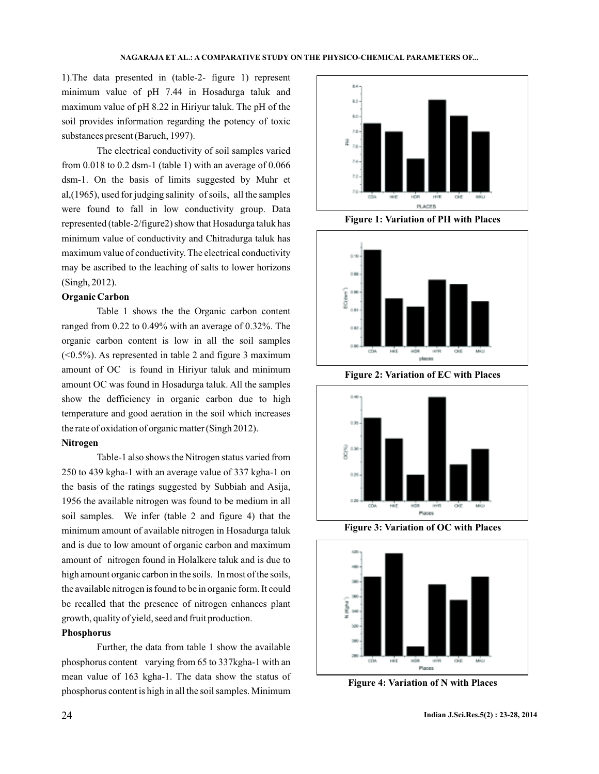1).The data presented in (table-2- figure 1) represent minimum value of pH 7.44 in Hosadurga taluk and maximum value of pH 8.22 in Hiriyur taluk. The pH of the soil provides information regarding the potency of toxic substances present (Baruch, 1997).

The electrical conductivity of soil samples varied from  $0.018$  to  $0.2$  dsm-1 (table 1) with an average of  $0.066$ dsm-1. On the basis of limits suggested by Muhr et al,(1965), used for judging salinity of soils, all the samples were found to fall in low conductivity group. Data represented (table-2/figure2) show that Hosadurga taluk has minimum value of conductivity and Chitradurga taluk has maximum value of conductivity. The electrical conductivity may be ascribed to the leaching of salts to lower horizons (Singh, 2012).

#### **Organic Carbon**

Table 1 shows the the Organic carbon content ranged from 0.22 to 0.49% with an average of 0.32%. The organic carbon content is low in all the soil samples  $(<0.5\%)$ . As represented in table 2 and figure 3 maximum amount of OC is found in Hiriyur taluk and minimum amount OC was found in Hosadurga taluk. All the samples show the defficiency in organic carbon due to high temperature and good aeration in the soil which increases the rate of oxidation of organic matter (Singh 2012).

#### **Nitrogen**

Table-1 also shows the Nitrogen status varied from 250 to 439 kgha-1 with an average value of 337 kgha-1 on the basis of the ratings suggested by Subbiah and Asija, 1956 the available nitrogen was found to be medium in all soil samples. We infer (table 2 and figure 4) that the minimum amount of available nitrogen in Hosadurga taluk and is due to low amount of organic carbon and maximum amount of nitrogen found in Holalkere taluk and is due to high amount organic carbon in the soils. In most of the soils, the available nitrogen is found to be in organic form. It could be recalled that the presence of nitrogen enhances plant growth, quality of yield, seed and fruit production.

## **Phosphorus**

Further, the data from table 1 show the available phosphorus content varying from 65 to 337kgha-1 with an mean value of 163 kgha-1. The data show the status of phosphorus content is high in all the soil samples. Minimum



**Figure 1: Variation of PH with Places**



**Figure 2: Variation of EC with Places**



**Figure 3: Variation of OC with Places**



**Figure 4: Variation of N with Places**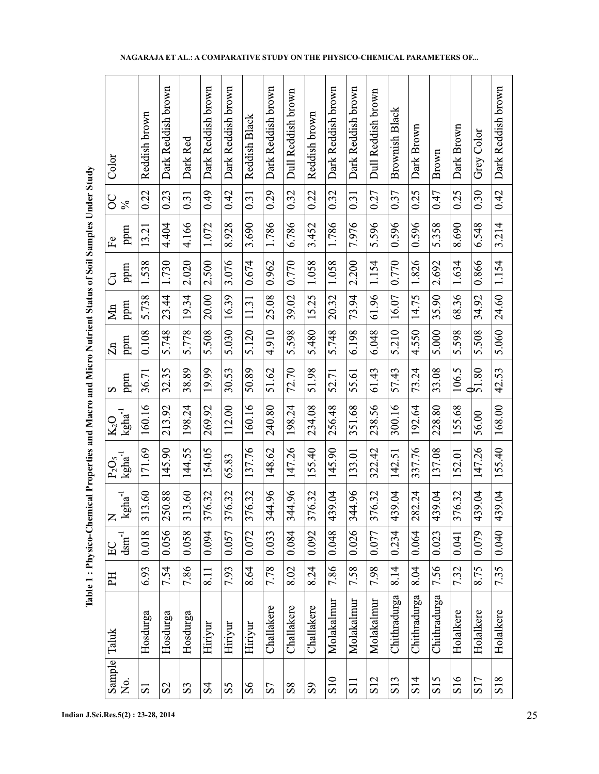| i                    |  |
|----------------------|--|
|                      |  |
|                      |  |
| l                    |  |
|                      |  |
| İ                    |  |
| $\ddot{\phantom{a}}$ |  |
|                      |  |
|                      |  |
|                      |  |
|                      |  |
|                      |  |
|                      |  |
|                      |  |
|                      |  |
|                      |  |
|                      |  |
|                      |  |
|                      |  |
|                      |  |
| i                    |  |
|                      |  |
|                      |  |
|                      |  |
|                      |  |
|                      |  |
|                      |  |
|                      |  |
|                      |  |
|                      |  |
|                      |  |
|                      |  |
|                      |  |
|                      |  |
| ı                    |  |
|                      |  |
|                      |  |
|                      |  |
|                      |  |
|                      |  |
|                      |  |
|                      |  |
|                      |  |
|                      |  |
|                      |  |
|                      |  |
| i<br>1               |  |
| ׇ֚֚֡                 |  |
|                      |  |
| -<br> <br>           |  |
|                      |  |

 $\mathbf{r}$ 

| Color                               | Reddish brown           | Dark Reddish brown | Dark Red       | Dark Reddish brown | Dark Reddish brown | Reddish Black | Dark Reddish brown     | Dull Reddish brown | Reddish brown  | Dark Reddish brown | Dark Reddish brown | Dull Reddish brown | <b>Brownish Black</b> | Dark Brown      | Brown           | Dark Brown | Grey Color        | Dark Reddish brown |
|-------------------------------------|-------------------------|--------------------|----------------|--------------------|--------------------|---------------|------------------------|--------------------|----------------|--------------------|--------------------|--------------------|-----------------------|-----------------|-----------------|------------|-------------------|--------------------|
| ပ္လ<br>$\frac{5}{6}$                | 0.22                    | 0.23               | 0.31           | 0.49               | 0.42               | 0.31          | 0.29                   | 0.32               | 0.22           | 0.32               | 0.31               | 0.27               | 0.37                  | 0.25            | 0.47            | 0.25       | 0.30              | 0.42               |
| ppm<br>$F_{\mathbf{e}}$             | 13.21                   | 4.404              | 4.166          | 1.072              | 8.928              | 3.690         | 1.786                  | 6.786              | 3.452          | 1.786              | 7.976              | 5.596              | 0.596                 | 0.596           | 5.358           | 8.690      | 6.548             | 3.214              |
| ppm<br>්                            | 1.538                   | 1.730              | 2.020          | 2.500              | 3.076              | 0.674         | 0.962                  | 0.770              | 1.058          | 1.058              | 2.200              | 1.154              | 0.770                 | 1.826           | 2.692           | 1.634      | 0.866             | 1.154              |
| ppm<br>$\sum_{i=1}^{n}$             | 5.738                   | 23.44              | 19.34          | 20.00              | 16.39              | 11.31         | 25.08                  | 39.02              | 15.25          | 20.32              | 73.94              | 61.96              | 16.07                 | 14.75           | 35.90           | 68.36      | 34.92             | 24.60              |
| ppm<br>$\Xi$                        | 0.108                   | 5.748              | 5.778          | 5.508              | 5.030              | 5.120         | 4.910                  | 5.598              | 5.480          | 5.748              | 6.198              | 6.048              | 5.210                 | 4.550           | 5.000           | 5.598      | 5.508             | 5.060              |
| ppm<br>S                            | 36.71                   | 32.35              | 38.89          | 19.99              | 30.53              | 50.89         | 51.62                  | 72.70              | 51.98          | 52.71              | 55.61              | 61.43              | 57.43                 | 73.24           | 33.08           | 106.5      | $\frac{6}{51.80}$ | 42.53              |
| $kgha$ <sup>1</sup><br>$\rm K_2O$   | 160.16                  | 213.92             | 198.24         | 269.92             | 112.00             | 160.16        | 240.80                 | 198.24             | 234.08         | 256.48             | 351.68             | 238.56             | 300.16                | 192.64          | 228.80          | 155.68     | 56.00             | 168.00             |
| $kgha$ <sup>1</sup><br>$P_2O_5$     | 171.69                  | 145.90             | 144.55         | 154.05             | 65.83              | 137.76        | 148.62                 | 147.26             | 155.40         | 145.90             | 133.01             | 322.42             | 142.51                | 337.76          | 137.08          | 152.01     | 147.26            | 155.40             |
| $kgha$ <sup>1</sup><br>$\mathsf{Z}$ | 313.60                  | 250.88             | 313.60         | 376.32             | 376.32             | 376.32        | 344.96<br>$\mathbf{u}$ | 344.96             | 376.32         | 139.04<br>↴        | 344.96             | 376.32             | 439.04                | 282.24          | 139.04<br>Д     | 376.32     | 139.04<br>↴       | 139.04<br>Д        |
| $d$ sm <sup>-1</sup><br>$\Xi$       | 0.018                   | 0.056              | 0.058          | 0.094              | 0.057              | 0.072         | 0.033                  | 0.084              | 0.092          | 0.048              | 0.026              | 0.077              | 0.234                 | 0.064           | 0.023           | 0.041      | 0.079             | 0.040              |
| 呂                                   | 6.93                    | 7.54               | 7.86           | $\overline{8.11}$  | 7.93               | 8.64          | 7.78                   | 8.02               | 8.24           | 7.86               | 7.58               | 7.98               | 8.14                  | 8.04            | 7.56            | 7.32       | 8.75              | 7.35               |
| Taluk                               | Hosdurga                | Hosdurga           | Hosdurga       | Hiriyur            | Hiriyur            | Hiriyur       | Challakere             | Challakere         | Challakere     | Molakalmur         | Molakalnur         | Molakalmur         | Chithradurga          | Chithradurga    | Chithradurga    | Holalkere  | Holalkere         | Holalkere          |
| Sample<br>No.                       | $\overline{\mathbf{S}}$ | S <sub>2</sub>     | S <sub>3</sub> | S <sub>4</sub>     | SS                 | $\mathcal{S}$ | S                      | ${\rm S}8$         | S <sub>9</sub> | S <sub>10</sub>    | S <sub>11</sub>    | S <sub>12</sub>    | S13                   | S <sub>14</sub> | S <sub>15</sub> | S16        | S <sub>17</sub>   | S18                |

**NAGARAJA ET AL.: A COMPARATIVE STUDY ON THE PHYSICO-CHEMICAL PARAMETERS OF...**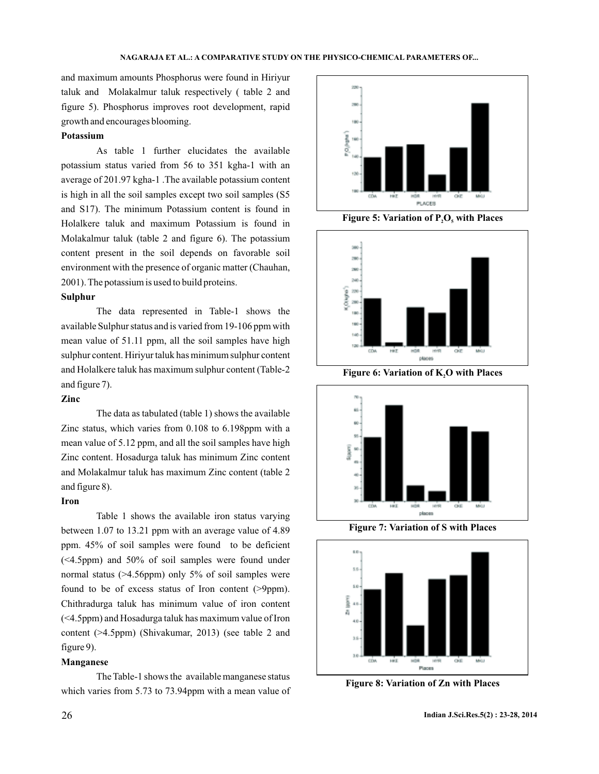and maximum amounts Phosphorus were found in Hiriyur taluk and Molakalmur taluk respectively ( table 2 and figure 5). Phosphorus improves root development, rapid growth and encourages blooming.

#### **Potassium**

As table 1 further elucidates the available potassium status varied from 56 to 351 kgha-1 with an average of 201.97 kgha-1 .The available potassium content is high in all the soil samples except two soil samples (S5 and S17). The minimum Potassium content is found in Holalkere taluk and maximum Potassium is found in Molakalmur taluk (table 2 and figure 6). The potassium content present in the soil depends on favorable soil environment with the presence of organic matter (Chauhan, 2001). The potassium is used to build proteins.

#### **Sulphur**

The data represented in Table-1 shows the available Sulphur status and is varied from 19-106 ppm with mean value of 51.11 ppm, all the soil samples have high sulphur content. Hiriyur taluk has minimum sulphur content and Holalkere taluk has maximum sulphur content (Table-2 and figure 7).

## **Zinc**

The data as tabulated (table 1) shows the available Zinc status, which varies from 0.108 to 6.198ppm with a mean value of 5.12 ppm, and all the soil samples have high Zinc content. Hosadurga taluk has minimum Zinc content and Molakalmur taluk has maximum Zinc content (table 2 and figure 8).

#### **Iron**

Table 1 shows the available iron status varying between 1.07 to 13.21 ppm with an average value of 4.89 ppm. 45% of soil samples were found to be deficient (<4.5ppm) and 50% of soil samples were found under normal status (>4.56ppm) only 5% of soil samples were found to be of excess status of Iron content (>9ppm). Chithradurga taluk has minimum value of iron content (<4.5ppm) and Hosadurga taluk has maximum value of Iron content (>4.5ppm) (Shivakumar, 2013) (see table 2 and figure 9).

#### **Manganese**

The Table-1 shows the available manganese status which varies from 5.73 to 73.94ppm with a mean value of



**Figure 5: Variation of P<sub>2</sub>O<sub>5</sub> with Places** 



**Figure 6: Variation of K,O with Places** 



**Figure 7: Variation of S with Places**



**Figure 8: Variation of Zn with Places**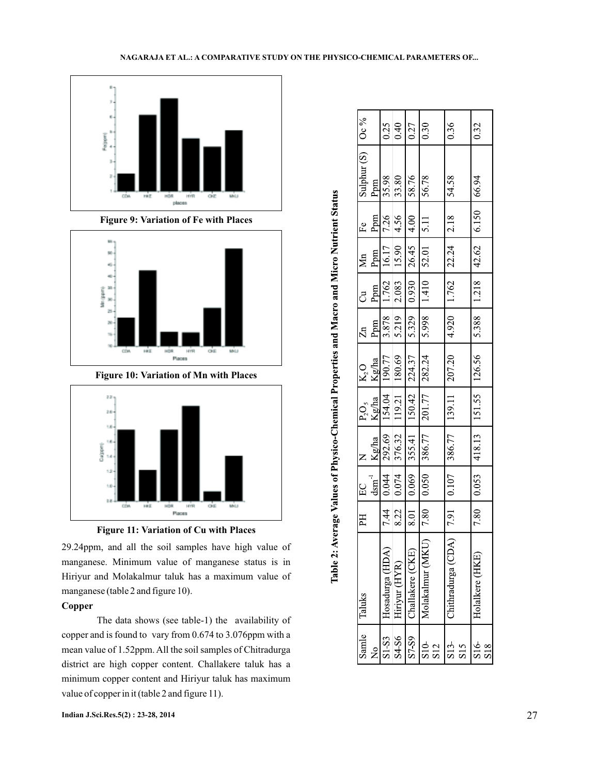



**Figure 9: Variation of Fe with Places**



**Figure 10: Variation of Mn with Places**





29.24ppm, and all the soil samples have high value of manganese. Minimum value of manganese status is in Hiriyur and Molakalmur taluk has a maximum value of manganese (table 2 and figure 10).

# **Copper**

The data shows (see table-1) the availability of copper and is found to vary from 0.674 to 3.076ppm with a mean value of 1.52ppm. All the soil samples of Chitradurga district are high copper content. Challakere taluk has a minimum copper content and Hiriyur taluk has maximum value of copper in it (table 2 and figure 11).

| Samle                  | Taluks                             | $\mathbb{H}$                  |                                                                     | $\overline{z}$          |                                                                             |                                                          |                     | $\overline{c}$                                                        | $\mathbf{Mn}$                            | Fe      | Sulphur (S)   Oc % |      |
|------------------------|------------------------------------|-------------------------------|---------------------------------------------------------------------|-------------------------|-----------------------------------------------------------------------------|----------------------------------------------------------|---------------------|-----------------------------------------------------------------------|------------------------------------------|---------|--------------------|------|
|                        |                                    |                               | $\begin{bmatrix} EC & -\\ \frac{1}{2} & -\frac{1}{2} \end{bmatrix}$ | $\frac{Kg/ha}{h}$ 1     | P.O <sub>s</sub><br>Kg/ha                                                   |                                                          | អ<br>ស្ថិត<br>ស្ថិត |                                                                       | Ppm                                      | Ppm     | Ppm                |      |
| 1 <sub>0</sub>         | Hosadurga (HDA)                    | 7.44                          | $ $ ++0 0                                                           |                         |                                                                             |                                                          |                     |                                                                       |                                          | 7.26    | 35.98              | 0.25 |
| S4-S6                  | Hiriyur (HYR)                      | 8.22                          | $\frac{1}{0.074}$                                                   | $\frac{292.69}{376.32}$ | $\begin{array}{ c c } \hline &154.04 \ \hline &119.21 \ \hline \end{array}$ | $\frac{K_2O}{\frac{190.77}{190.77}}$                     | 878 878             | $\begin{array}{c}\n\text{Ppm} \\ \hline\n1.762 \\ 2.083\n\end{array}$ | $\frac{16.17}{15.90}$                    | 14.56   | 33.80              | 0.40 |
| S7 <sub>S9</sub>       | Challakere (CKE)                   | $\overline{\phantom{0}}$ 8.01 | 90.0                                                                |                         | 355.41   150.42                                                             | 224.37                                                   | 5.329               |                                                                       | $00^{\circ}$ 5 $\frac{54.97}{0.60}$ 6.60 |         | 58.76              | 0.27 |
| S10-<br>S12            | Molakalmur (MK)                    | 7.80                          | 0.050                                                               | 386.77                  | 201.77                                                                      | 282.24                                                   | 866'S               | 1.410                                                                 | 52.01                                    | $-5.11$ | 56.78              | 0.30 |
| S13<br>S <sub>15</sub> | $\overline{a}$<br>Chithradurga (CD | 7.91                          | $0.107$                                                             | 386.77                  | 139.11                                                                      | 207.20                                                   | 4.920               | 1.762                                                                 | 22.24                                    | 2.18    | 54.58              | 0.36 |
| S16                    | Holalkere (HKE                     | 7.80                          | 0.053                                                               |                         |                                                                             | 418.13   151.55   126.56   5.388   1.218   42.62   6.150 |                     |                                                                       |                                          |         | 66.94              | 0.32 |

Table 2: Average Values of Physico-Chemical Properties and Macro and Micro Nutrient Status